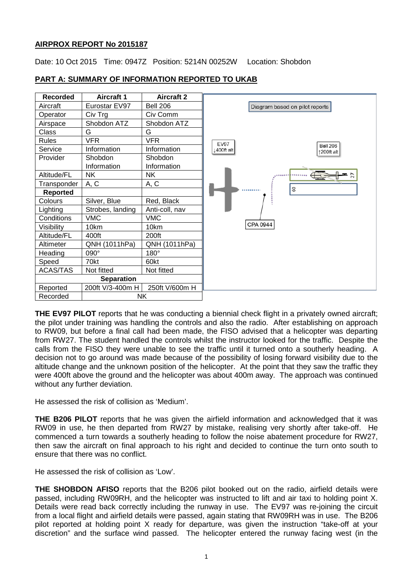## **AIRPROX REPORT No 2015187**

Date: 10 Oct 2015 Time: 0947Z Position: 5214N 00252W Location: Shobdon



# **PART A: SUMMARY OF INFORMATION REPORTED TO UKAB**

**THE EV97 PILOT** reports that he was conducting a biennial check flight in a privately owned aircraft; the pilot under training was handling the controls and also the radio. After establishing on approach to RW09, but before a final call had been made, the FISO advised that a helicopter was departing from RW27. The student handled the controls whilst the instructor looked for the traffic. Despite the calls from the FISO they were unable to see the traffic until it turned onto a southerly heading. A decision not to go around was made because of the possibility of losing forward visibility due to the altitude change and the unknown position of the helicopter. At the point that they saw the traffic they were 400ft above the ground and the helicopter was about 400m away. The approach was continued without any further deviation.

He assessed the risk of collision as 'Medium'.

**THE B206 PILOT** reports that he was given the airfield information and acknowledged that it was RW09 in use, he then departed from RW27 by mistake, realising very shortly after take-off. He commenced a turn towards a southerly heading to follow the noise abatement procedure for RW27, then saw the aircraft on final approach to his right and decided to continue the turn onto south to ensure that there was no conflict.

He assessed the risk of collision as 'Low'.

**THE SHOBDON AFISO** reports that the B206 pilot booked out on the radio, airfield details were passed, including RW09RH, and the helicopter was instructed to lift and air taxi to holding point X. Details were read back correctly including the runway in use. The EV97 was re-joining the circuit from a local flight and airfield details were passed, again stating that RW09RH was in use. The B206 pilot reported at holding point X ready for departure, was given the instruction "take-off at your discretion" and the surface wind passed. The helicopter entered the runway facing west (in the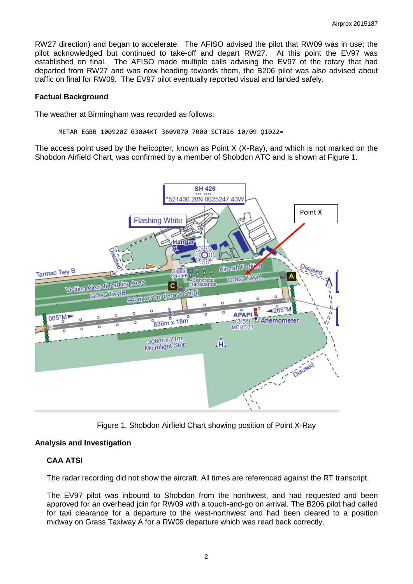RW27 direction) and began to accelerate. The AFISO advised the pilot that RW09 was in use; the pilot acknowledged but continued to take-off and depart RW27. At this point the EV97 was established on final. The AFISO made multiple calls advising the EV97 of the rotary that had departed from RW27 and was now heading towards them, the B206 pilot was also advised about traffic on final for RW09. The EV97 pilot eventually reported visual and landed safely.

#### **Factual Background**

The weather at Birmingham was recorded as follows:

METAR EGBB 100920Z 03004KT 360V070 7000 SCT026 10/09 Q1022=

The access point used by the helicopter, known as Point X (X-Ray), and which is not marked on the Shobdon Airfield Chart, was confirmed by a member of Shobdon ATC and is shown at Figure 1.



Figure 1. Shobdon Airfield Chart showing position of Point X-Ray

# **Analysis and Investigation**

# **CAA ATSI**

The radar recording did not show the aircraft. All times are referenced against the RT transcript.

The EV97 pilot was inbound to Shobdon from the northwest, and had requested and been approved for an overhead join for RW09 with a touch-and-go on arrival. The B206 pilot had called for taxi clearance for a departure to the west-northwest and had been cleared to a position midway on Grass Taxiway A for a RW09 departure which was read back correctly.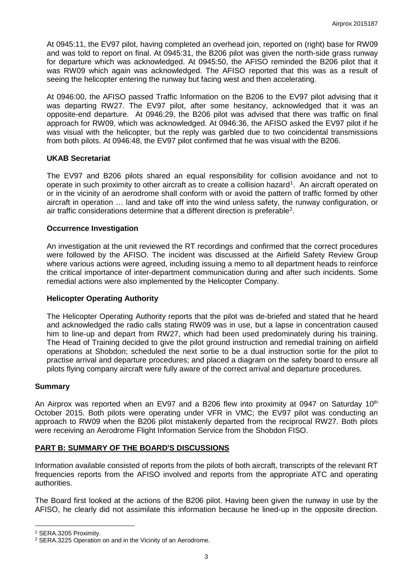At 0945:11, the EV97 pilot, having completed an overhead join, reported on (right) base for RW09 and was told to report on final. At 0945:31, the B206 pilot was given the north-side grass runway for departure which was acknowledged. At 0945:50, the AFISO reminded the B206 pilot that it was RW09 which again was acknowledged. The AFISO reported that this was as a result of seeing the helicopter entering the runway but facing west and then accelerating.

At 0946:00, the AFISO passed Traffic Information on the B206 to the EV97 pilot advising that it was departing RW27. The EV97 pilot, after some hesitancy, acknowledged that it was an opposite-end departure. At 0946:29, the B206 pilot was advised that there was traffic on final approach for RW09, which was acknowledged. At 0946:36, the AFISO asked the EV97 pilot if he was visual with the helicopter, but the reply was garbled due to two coincidental transmissions from both pilots. At 0946:48, the EV97 pilot confirmed that he was visual with the B206.

### **UKAB Secretariat**

The EV97 and B206 pilots shared an equal responsibility for collision avoidance and not to operate in such proximity to other aircraft as to create a collision hazard<sup>[1](#page-2-0)</sup>. An aircraft operated on or in the vicinity of an aerodrome shall conform with or avoid the pattern of traffic formed by other aircraft in operation … land and take off into the wind unless safety, the runway configuration, or air traffic considerations determine that a different direction is preferable<sup>[2](#page-2-1)</sup>.

### **Occurrence Investigation**

An investigation at the unit reviewed the RT recordings and confirmed that the correct procedures were followed by the AFISO. The incident was discussed at the Airfield Safety Review Group where various actions were agreed, including issuing a memo to all department heads to reinforce the critical importance of inter-department communication during and after such incidents. Some remedial actions were also implemented by the Helicopter Company.

#### **Helicopter Operating Authority**

The Helicopter Operating Authority reports that the pilot was de-briefed and stated that he heard and acknowledged the radio calls stating RW09 was in use, but a lapse in concentration caused him to line-up and depart from RW27, which had been used predominately during his training. The Head of Training decided to give the pilot ground instruction and remedial training on airfield operations at Shobdon; scheduled the next sortie to be a dual instruction sortie for the pilot to practise arrival and departure procedures; and placed a diagram on the safety board to ensure all pilots flying company aircraft were fully aware of the correct arrival and departure procedures.

#### **Summary**

An Airprox was reported when an EV97 and a B206 flew into proximity at 0947 on Saturday  $10<sup>th</sup>$ October 2015. Both pilots were operating under VFR in VMC; the EV97 pilot was conducting an approach to RW09 when the B206 pilot mistakenly departed from the reciprocal RW27. Both pilots were receiving an Aerodrome Flight Information Service from the Shobdon FISO.

## **PART B: SUMMARY OF THE BOARD'S DISCUSSIONS**

Information available consisted of reports from the pilots of both aircraft, transcripts of the relevant RT frequencies reports from the AFISO involved and reports from the appropriate ATC and operating authorities.

The Board first looked at the actions of the B206 pilot. Having been given the runway in use by the AFISO, he clearly did not assimilate this information because he lined-up in the opposite direction.

l

<span id="page-2-0"></span><sup>1</sup> SERA.3205 Proximity.

<span id="page-2-1"></span><sup>2</sup> SERA.3225 Operation on and in the Vicinity of an Aerodrome.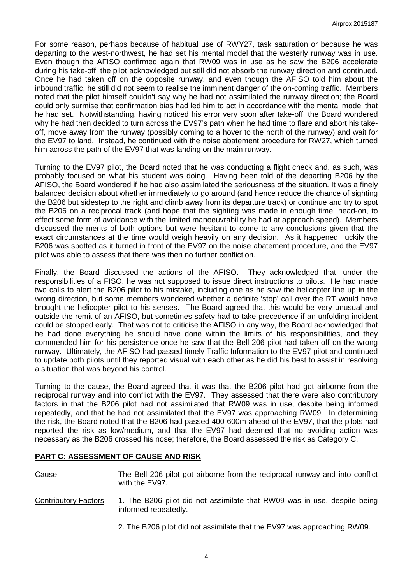For some reason, perhaps because of habitual use of RWY27, task saturation or because he was departing to the west-northwest, he had set his mental model that the westerly runway was in use. Even though the AFISO confirmed again that RW09 was in use as he saw the B206 accelerate during his take-off, the pilot acknowledged but still did not absorb the runway direction and continued. Once he had taken off on the opposite runway, and even though the AFISO told him about the inbound traffic, he still did not seem to realise the imminent danger of the on-coming traffic. Members noted that the pilot himself couldn't say why he had not assimilated the runway direction; the Board could only surmise that confirmation bias had led him to act in accordance with the mental model that he had set. Notwithstanding, having noticed his error very soon after take-off, the Board wondered why he had then decided to turn across the EV97's path when he had time to flare and abort his takeoff, move away from the runway (possibly coming to a hover to the north of the runway) and wait for the EV97 to land. Instead, he continued with the noise abatement procedure for RW27, which turned him across the path of the EV97 that was landing on the main runway.

Turning to the EV97 pilot, the Board noted that he was conducting a flight check and, as such, was probably focused on what his student was doing. Having been told of the departing B206 by the AFISO, the Board wondered if he had also assimilated the seriousness of the situation. It was a finely balanced decision about whether immediately to go around (and hence reduce the chance of sighting the B206 but sidestep to the right and climb away from its departure track) or continue and try to spot the B206 on a reciprocal track (and hope that the sighting was made in enough time, head-on, to effect some form of avoidance with the limited manoeuvrability he had at approach speed). Members discussed the merits of both options but were hesitant to come to any conclusions given that the exact circumstances at the time would weigh heavily on any decision. As it happened, luckily the B206 was spotted as it turned in front of the EV97 on the noise abatement procedure, and the EV97 pilot was able to assess that there was then no further confliction.

Finally, the Board discussed the actions of the AFISO. They acknowledged that, under the responsibilities of a FISO, he was not supposed to issue direct instructions to pilots. He had made two calls to alert the B206 pilot to his mistake, including one as he saw the helicopter line up in the wrong direction, but some members wondered whether a definite 'stop' call over the RT would have brought the helicopter pilot to his senses. The Board agreed that this would be very unusual and outside the remit of an AFISO, but sometimes safety had to take precedence if an unfolding incident could be stopped early. That was not to criticise the AFISO in any way, the Board acknowledged that he had done everything he should have done within the limits of his responsibilities, and they commended him for his persistence once he saw that the Bell 206 pilot had taken off on the wrong runway. Ultimately, the AFISO had passed timely Traffic Information to the EV97 pilot and continued to update both pilots until they reported visual with each other as he did his best to assist in resolving a situation that was beyond his control.

Turning to the cause, the Board agreed that it was that the B206 pilot had got airborne from the reciprocal runway and into conflict with the EV97. They assessed that there were also contributory factors in that the B206 pilot had not assimilated that RW09 was in use, despite being informed repeatedly, and that he had not assimilated that the EV97 was approaching RW09. In determining the risk, the Board noted that the B206 had passed 400-600m ahead of the EV97, that the pilots had reported the risk as low/medium, and that the EV97 had deemed that no avoiding action was necessary as the B206 crossed his nose; therefore, the Board assessed the risk as Category C.

## **PART C: ASSESSMENT OF CAUSE AND RISK**

Cause: The Bell 206 pilot got airborne from the reciprocal runway and into conflict with the EV97.

- Contributory Factors: 1. The B206 pilot did not assimilate that RW09 was in use, despite being informed repeatedly.
	- 2. The B206 pilot did not assimilate that the EV97 was approaching RW09.